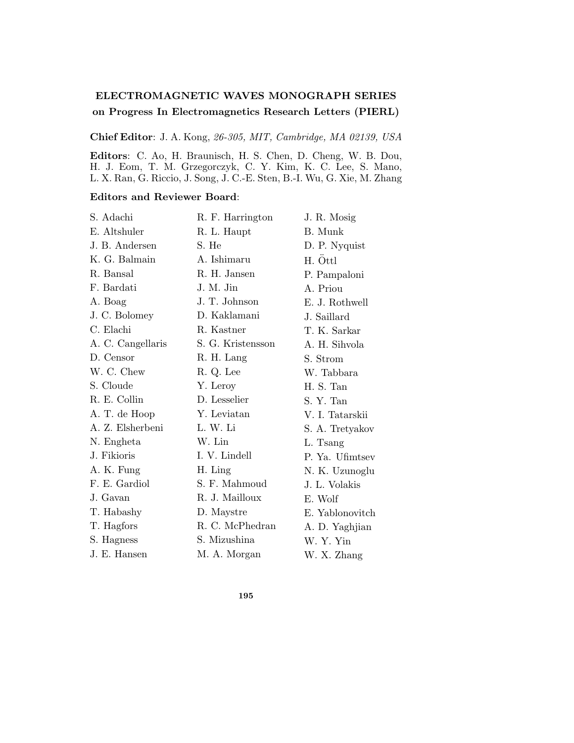## **ELECTROMAGNETIC WAVES MONOGRAPH SERIES on Progress In Electromagnetics Research Letters (PIERL)**

**Chief Editor**: J. A. Kong, 26-305, MIT, Cambridge, MA 02139, USA

**Editors**: C. Ao, H. Braunisch, H. S. Chen, D. Cheng, W. B. Dou, H. J. Eom, T. M. Grzegorczyk, C. Y. Kim, K. C. Lee, S. Mano, L. X. Ran, G. Riccio, J. Song, J. C.-E. Sten, B.-I. Wu, G. Xie, M. Zhang

## **Editors and Reviewer Board**:

| S. Adachi         | R. F. Harrington  | J. R. Mosig     |
|-------------------|-------------------|-----------------|
| E. Altshuler      | R. L. Haupt       | B. Munk         |
| J. B. Andersen    | S. He             | D. P. Nyquist   |
| K. G. Balmain     | A. Ishimaru       | H. Öttl         |
| R. Bansal         | R. H. Jansen      | P. Pampaloni    |
| F. Bardati        | J. M. Jin         | A. Priou        |
| A. Boag           | J. T. Johnson     | E. J. Rothwell  |
| J. C. Bolomey     | D. Kaklamani      | J. Saillard     |
| C. Elachi         | R. Kastner        | T. K. Sarkar    |
| A. C. Cangellaris | S. G. Kristensson | A. H. Sihvola   |
| D. Censor         | R. H. Lang        | S. Strom        |
| W. C. Chew        | R. Q. Lee         | W. Tabbara      |
| S. Cloude         | Y. Leroy          | H. S. Tan       |
| R. E. Collin      | D. Lesselier      | S. Y. Tan       |
| A. T. de Hoop     | Y. Leviatan       | V. I. Tatarskii |
| A. Z. Elsherbeni  | L. W. Li          | S. A. Tretyakov |
| N. Engheta        | W. Lin            | L. Tsang        |
| J. Fikioris       | I. V. Lindell     | P. Ya. Ufimtsev |
| A. K. Fung        | H. Ling           | N. K. Uzunoglu  |
| F. E. Gardiol     | S. F. Mahmoud     | J. L. Volakis   |
| J. Gavan          | R. J. Mailloux    | E. Wolf         |
| T. Habashy        | D. Maystre        | E. Yablonovitch |
| T. Hagfors        | R. C. McPhedran   | A. D. Yaghjian  |
| S. Hagness        | S. Mizushina      | W. Y. Yin       |
| J. E. Hansen      | M. A. Morgan      | W. X. Zhang     |

**195**